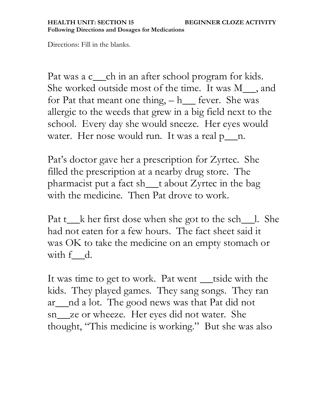Directions: Fill in the blanks.

Pat was a c\_\_\_\_ch in an after school program for kids. She worked outside most of the time. It was M\_\_, and for Pat that meant one thing,  $-h$  fever. She was allergic to the weeds that grew in a big field next to the school. Every day she would sneeze. Her eyes would water. Her nose would run. It was a real  $p_{n}$ n.

Pat's doctor gave her a prescription for Zyrtec. She filled the prescription at a nearby drug store. The pharmacist put a fact sh\_t about Zyrtec in the bag with the medicine. Then Pat drove to work.

Pat  $t_k$  k her first dose when she got to the sch $\Box$ . She had not eaten for a few hours. The fact sheet said it was OK to take the medicine on an empty stomach or with f\_d.

It was time to get to work. Pat went \_tside with the kids. They played games. They sang songs. They ran ar \_\_\_ nd a lot. The good news was that Pat did not sn\_ze or wheeze. Her eyes did not water. She thought, "This medicine is working." But she was also